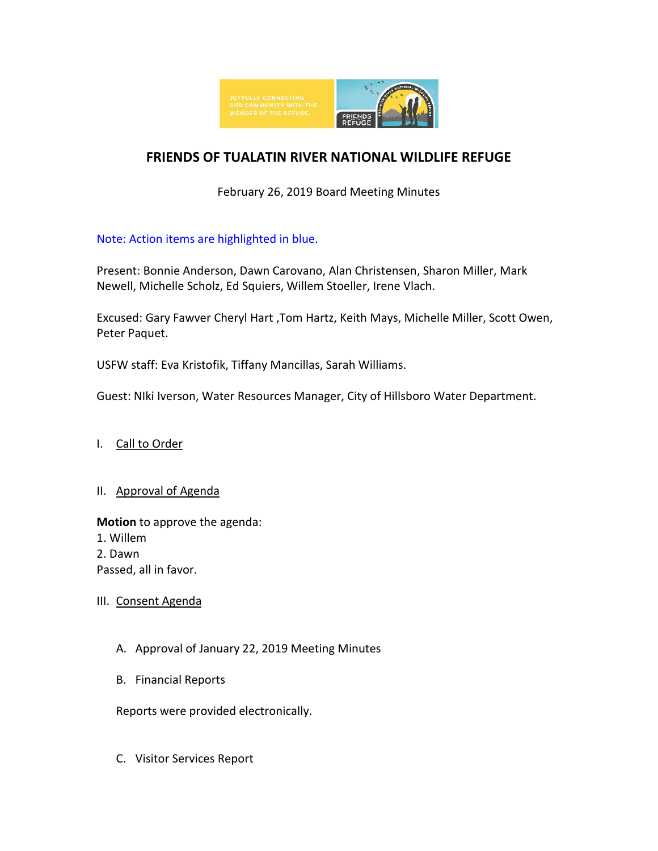

# **FRIENDS OF TUALATIN RIVER NATIONAL WILDLIFE REFUGE**

February 26, 2019 Board Meeting Minutes

## Note: Action items are highlighted in blue.

Present: Bonnie Anderson, Dawn Carovano, Alan Christensen, Sharon Miller, Mark Newell, Michelle Scholz, Ed Squiers, Willem Stoeller, Irene Vlach.

Excused: Gary Fawver Cheryl Hart ,Tom Hartz, Keith Mays, Michelle Miller, Scott Owen, Peter Paquet.

USFW staff: Eva Kristofik, Tiffany Mancillas, Sarah Williams.

Guest: NIki Iverson, Water Resources Manager, City of Hillsboro Water Department.

I. Call to Order

#### II. Approval of Agenda

**Motion** to approve the agenda:

- 1. Willem
- 2. Dawn

Passed, all in favor.

III. Consent Agenda

- A. Approval of January 22, 2019 Meeting Minutes
- B. Financial Reports

Reports were provided electronically.

C. Visitor Services Report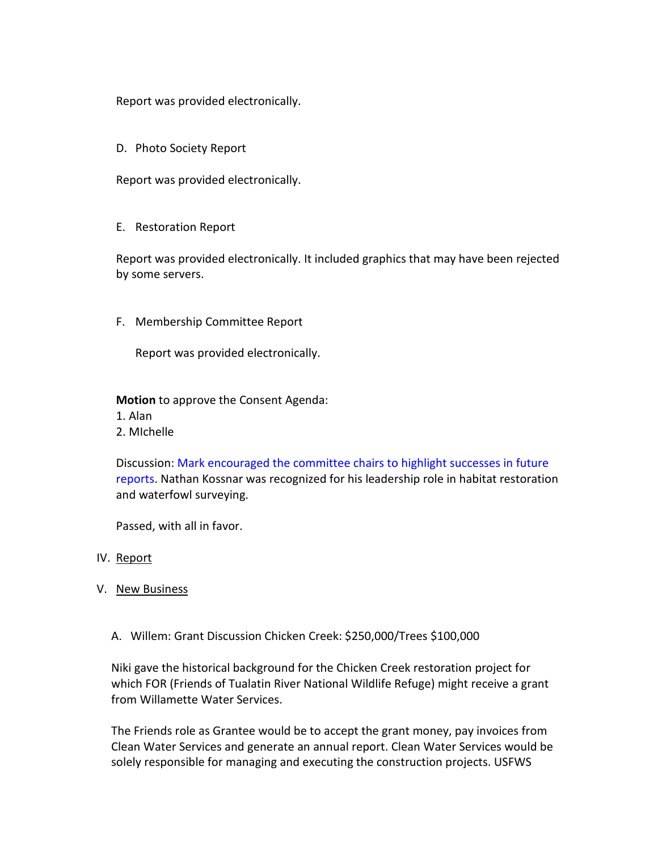Report was provided electronically.

D. Photo Society Report

Report was provided electronically.

E. Restoration Report

Report was provided electronically. It included graphics that may have been rejected by some servers.

F. Membership Committee Report

Report was provided electronically.

**Motion** to approve the Consent Agenda:

1. Alan

2. MIchelle

Discussion: Mark encouraged the committee chairs to highlight successes in future reports. Nathan Kossnar was recognized for his leadership role in habitat restoration and waterfowl surveying.

Passed, with all in favor.

- IV. Report
- V. New Business
	- A. Willem: Grant Discussion Chicken Creek: \$250,000/Trees \$100,000

Niki gave the historical background for the Chicken Creek restoration project for which FOR (Friends of Tualatin River National Wildlife Refuge) might receive a grant from Willamette Water Services.

The Friends role as Grantee would be to accept the grant money, pay invoices from Clean Water Services and generate an annual report. Clean Water Services would be solely responsible for managing and executing the construction projects. USFWS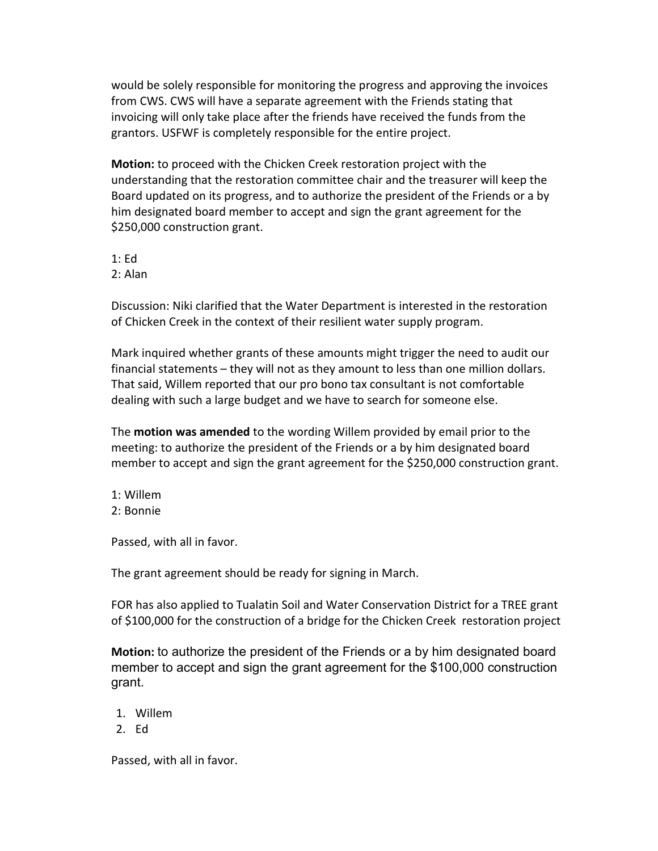would be solely responsible for monitoring the progress and approving the invoices from CWS. CWS will have a separate agreement with the Friends stating that invoicing will only take place after the friends have received the funds from the grantors. USFWF is completely responsible for the entire project.

**Motion:** to proceed with the Chicken Creek restoration project with the understanding that the restoration committee chair and the treasurer will keep the Board updated on its progress, and to authorize the president of the Friends or a by him designated board member to accept and sign the grant agreement for the \$250,000 construction grant.

- 1: Ed
- 2: Alan

Discussion: Niki clarified that the Water Department is interested in the restoration of Chicken Creek in the context of their resilient water supply program.

Mark inquired whether grants of these amounts might trigger the need to audit our financial statements – they will not as they amount to less than one million dollars. That said, Willem reported that our pro bono tax consultant is not comfortable dealing with such a large budget and we have to search for someone else.

The **motion was amended** to the wording Willem provided by email prior to the meeting: to authorize the president of the Friends or a by him designated board member to accept and sign the grant agreement for the \$250,000 construction grant.

- 1: Willem
- 2: Bonnie

Passed, with all in favor.

The grant agreement should be ready for signing in March.

FOR has also applied to Tualatin Soil and Water Conservation District for a TREE grant of \$100,000 for the construction of a bridge for the Chicken Creek restoration project

**Motion:** to authorize the president of the Friends or a by him designated board member to accept and sign the grant agreement for the \$100,000 construction grant.

- 1. Willem
- 2. Ed

Passed, with all in favor.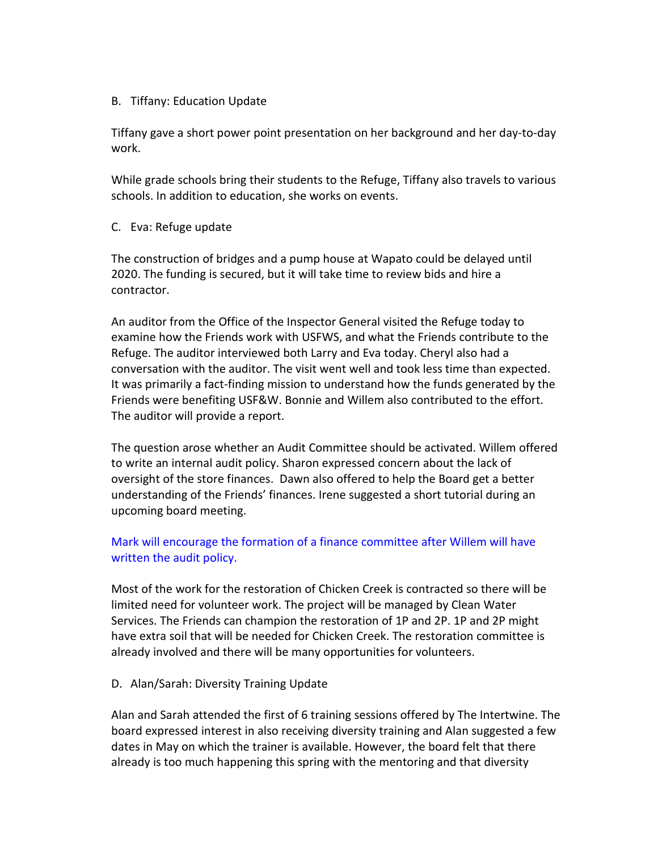#### B. Tiffany: Education Update

Tiffany gave a short power point presentation on her background and her day-to-day work.

While grade schools bring their students to the Refuge, Tiffany also travels to various schools. In addition to education, she works on events.

#### C. Eva: Refuge update

The construction of bridges and a pump house at Wapato could be delayed until 2020. The funding is secured, but it will take time to review bids and hire a contractor.

An auditor from the Office of the Inspector General visited the Refuge today to examine how the Friends work with USFWS, and what the Friends contribute to the Refuge. The auditor interviewed both Larry and Eva today. Cheryl also had a conversation with the auditor. The visit went well and took less time than expected. It was primarily a fact-finding mission to understand how the funds generated by the Friends were benefiting USF&W. Bonnie and Willem also contributed to the effort. The auditor will provide a report.

The question arose whether an Audit Committee should be activated. Willem offered to write an internal audit policy. Sharon expressed concern about the lack of oversight of the store finances. Dawn also offered to help the Board get a better understanding of the Friends' finances. Irene suggested a short tutorial during an upcoming board meeting.

### Mark will encourage the formation of a finance committee after Willem will have written the audit policy.

Most of the work for the restoration of Chicken Creek is contracted so there will be limited need for volunteer work. The project will be managed by Clean Water Services. The Friends can champion the restoration of 1P and 2P. 1P and 2P might have extra soil that will be needed for Chicken Creek. The restoration committee is already involved and there will be many opportunities for volunteers.

D. Alan/Sarah: Diversity Training Update

Alan and Sarah attended the first of 6 training sessions offered by The Intertwine. The board expressed interest in also receiving diversity training and Alan suggested a few dates in May on which the trainer is available. However, the board felt that there already is too much happening this spring with the mentoring and that diversity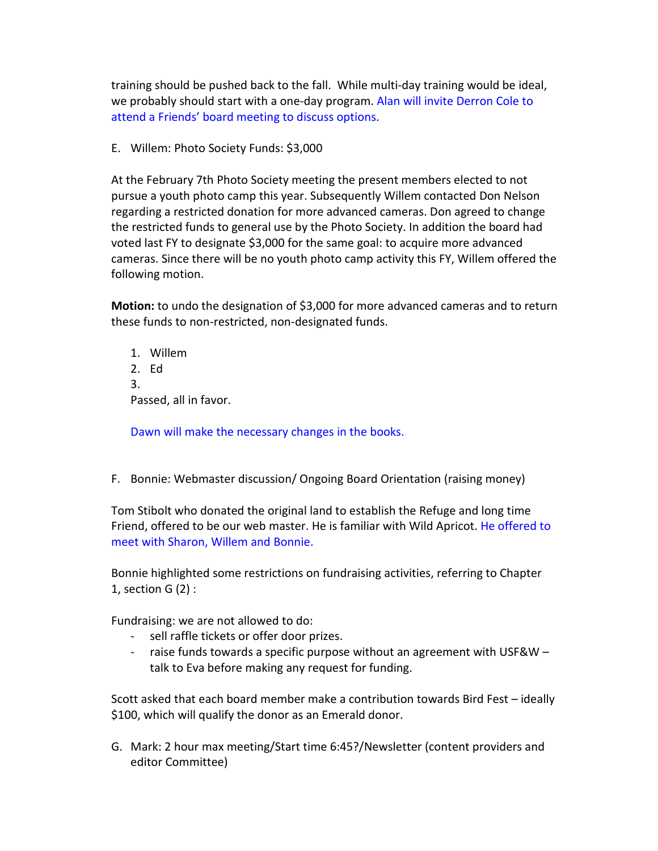training should be pushed back to the fall. While multi-day training would be ideal, we probably should start with a one-day program. Alan will invite Derron Cole to attend a Friends' board meeting to discuss options.

E. Willem: Photo Society Funds: \$3,000

At the February 7th Photo Society meeting the present members elected to not pursue a youth photo camp this year. Subsequently Willem contacted Don Nelson regarding a restricted donation for more advanced cameras. Don agreed to change the restricted funds to general use by the Photo Society. In addition the board had voted last FY to designate \$3,000 for the same goal: to acquire more advanced cameras. Since there will be no youth photo camp activity this FY, Willem offered the following motion.

**Motion:** to undo the designation of \$3,000 for more advanced cameras and to return these funds to non-restricted, non-designated funds.

1. Willem 2. Ed 3. Passed, all in favor.

Dawn will make the necessary changes in the books.

F. Bonnie: Webmaster discussion/ Ongoing Board Orientation (raising money)

Tom Stibolt who donated the original land to establish the Refuge and long time Friend, offered to be our web master. He is familiar with Wild Apricot. He offered to meet with Sharon, Willem and Bonnie.

Bonnie highlighted some restrictions on fundraising activities, referring to Chapter 1, section G (2) :

Fundraising: we are not allowed to do:

- sell raffle tickets or offer door prizes.
- raise funds towards a specific purpose without an agreement with USF&W talk to Eva before making any request for funding.

Scott asked that each board member make a contribution towards Bird Fest – ideally \$100, which will qualify the donor as an Emerald donor.

G. Mark: 2 hour max meeting/Start time 6:45?/Newsletter (content providers and editor Committee)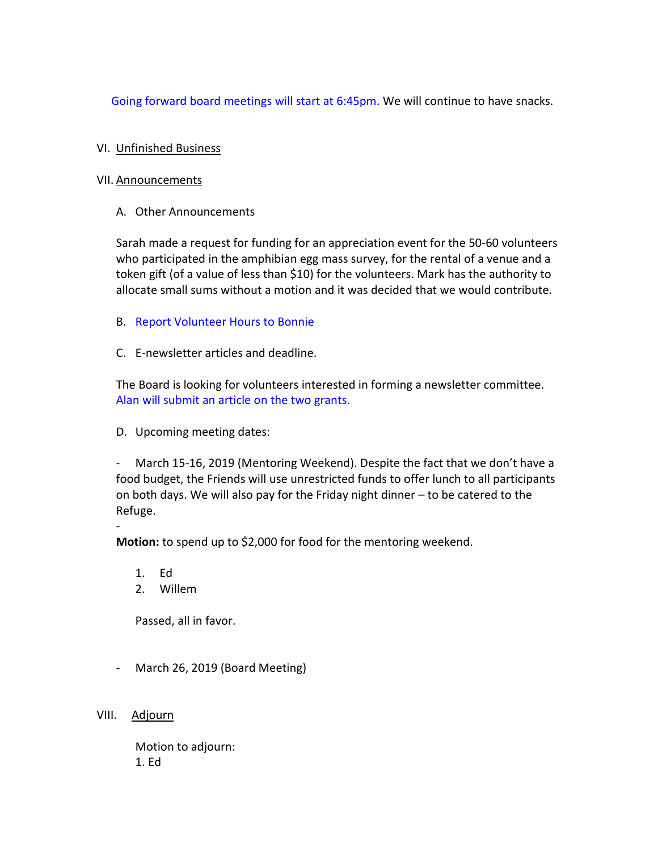Going forward board meetings will start at 6:45pm. We will continue to have snacks.

# VI. Unfinished Business

## VII. Announcements

A. Other Announcements

Sarah made a request for funding for an appreciation event for the 50-60 volunteers who participated in the amphibian egg mass survey, for the rental of a venue and a token gift (of a value of less than \$10) for the volunteers. Mark has the authority to allocate small sums without a motion and it was decided that we would contribute.

- B. Report Volunteer Hours to Bonnie
- C. E-newsletter articles and deadline.

The Board is looking for volunteers interested in forming a newsletter committee. Alan will submit an article on the two grants.

D. Upcoming meeting dates:

- March 15-16, 2019 (Mentoring Weekend). Despite the fact that we don't have a food budget, the Friends will use unrestricted funds to offer lunch to all participants on both days. We will also pay for the Friday night dinner – to be catered to the Refuge.

**Motion:** to spend up to \$2,000 for food for the mentoring weekend.

1. Ed

-

2. Willem

Passed, all in favor.

- March 26, 2019 (Board Meeting)
- VIII. Adjourn

Motion to adjourn: 1. Ed